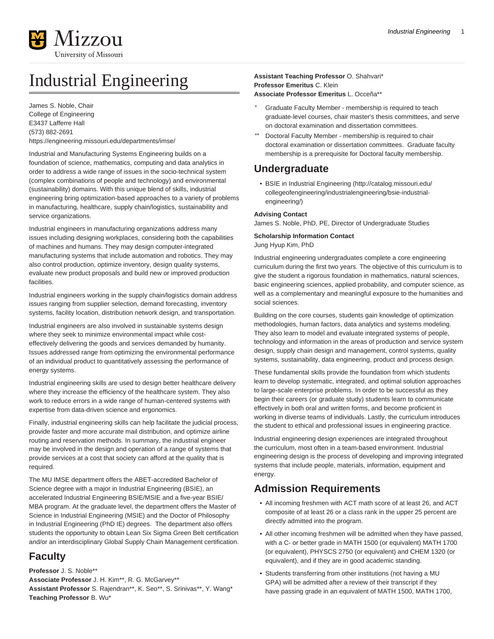

# Industrial Engineering

James S. Noble, Chair College of Engineering E3437 Lafferre Hall (573) 882-2691 <https://engineering.missouri.edu/departments/imse/>

Industrial and Manufacturing Systems Engineering builds on a foundation of science, mathematics, computing and data analytics in order to address a wide range of issues in the socio-technical system (complex combinations of people and technology) and environmental (sustainability) domains. With this unique blend of skills, industrial engineering bring optimization-based approaches to a variety of problems in manufacturing, healthcare, supply chain/logistics, sustainability and service organizations.

Industrial engineers in manufacturing organizations address many issues including designing workplaces, considering both the capabilities of machines and humans. They may design computer-integrated manufacturing systems that include automation and robotics. They may also control production, optimize inventory, design quality systems, evaluate new product proposals and build new or improved production facilities.

Industrial engineers working in the supply chain/logistics domain address issues ranging from supplier selection, demand forecasting, inventory systems, facility location, distribution network design, and transportation.

Industrial engineers are also involved in sustainable systems design where they seek to minimize environmental impact while costeffectively delivering the goods and services demanded by humanity. Issues addressed range from optimizing the environmental performance of an individual product to quantitatively assessing the performance of energy systems.

Industrial engineering skills are used to design better healthcare delivery where they increase the efficiency of the healthcare system. They also work to reduce errors in a wide range of human-centered systems with expertise from data-driven science and ergonomics.

Finally, industrial engineering skills can help facilitate the judicial process, provide faster and more accurate mail distribution, and optimize airline routing and reservation methods. In summary, the industrial engineer may be involved in the design and operation of a range of systems that provide services at a cost that society can afford at the quality that is required.

The MU IMSE department offers the ABET-accredited Bachelor of Science degree with a major in Industrial Engineering (BSIE), an accelerated Industrial Engineering BSIE/MSIE and a five-year BSIE/ MBA program. At the graduate level, the department offers the Master of Science in Industrial Engineering (MSIE) and the Doctor of Philosophy in Industrial Engineering (PhD IE) degrees. The department also offers students the opportunity to obtain Lean Six Sigma Green Belt certification and/or an interdisciplinary Global Supply Chain Management certification.

# **Faculty**

**Professor** J. S. Noble\*\*

**Associate Professor** J. H. Kim\*\*, R. G. McGarvey\*\* **Assistant Professor** S. Rajendran\*\*, K. Seo\*\*, S. Srinivas\*\*, Y. Wang\* **Teaching Professor** B. Wu\*

**Assistant Teaching Professor** O. Shahvari\* **Professor Emeritus** C. Klein **Associate Professor Emeritus** L. Occeña\*\*

- Graduate Faculty Member membership is required to teach graduate-level courses, chair master's thesis committees, and serve on doctoral examination and dissertation committees.
- Doctoral Faculty Member membership is required to chair doctoral examination or dissertation committees. Graduate faculty membership is a prerequisite for Doctoral faculty membership.

# **Undergraduate**

• [BSIE in Industrial Engineering](http://catalog.missouri.edu/collegeofengineering/industrialengineering/bsie-industrial-engineering/) [\(http://catalog.missouri.edu/](http://catalog.missouri.edu/collegeofengineering/industrialengineering/bsie-industrial-engineering/) [collegeofengineering/industrialengineering/bsie-industrial](http://catalog.missouri.edu/collegeofengineering/industrialengineering/bsie-industrial-engineering/)[engineering/](http://catalog.missouri.edu/collegeofengineering/industrialengineering/bsie-industrial-engineering/))

# **Advising Contact**

James S. Noble, PhD, PE, Director of Undergraduate Studies

**Scholarship Information Contact**

Jung Hyup Kim, PhD

Industrial engineering undergraduates complete a core engineering curriculum during the first two years. The objective of this curriculum is to give the student a rigorous foundation in mathematics, natural sciences, basic engineering sciences, applied probability, and computer science, as well as a complementary and meaningful exposure to the humanities and social sciences.

Building on the core courses, students gain knowledge of optimization methodologies, human factors, data analytics and systems modeling. They also learn to model and evaluate integrated systems of people, technology and information in the areas of production and service system design, supply chain design and management, control systems, quality systems, sustainability, data engineering, product and process design.

These fundamental skills provide the foundation from which students learn to develop systematic, integrated, and optimal solution approaches to large-scale enterprise problems. In order to be successful as they begin their careers (or graduate study) students learn to communicate effectively in both oral and written forms, and become proficient in working in diverse teams of individuals. Lastly, the curriculum introduces the student to ethical and professional issues in engineering practice.

Industrial engineering design experiences are integrated throughout the curriculum, most often in a team-based environment. Industrial engineering design is the process of developing and improving integrated systems that include people, materials, information, equipment and energy.

# **Admission Requirements**

- All incoming freshmen with ACT math score of at least 26, and ACT composite of at least 26 or a class rank in the upper 25 percent are directly admitted into the program.
- All other incoming freshmen will be admitted when they have passed, with a C- or better grade in MATH 1500 (or equivalent) MATH 1700 (or equivalent), PHYSCS 2750 (or equivalent) and CHEM 1320 (or equivalent), and if they are in good academic standing.
- Students transferring from other institutions (not having a MU GPA) will be admitted after a review of their transcript if they have passing grade in an equivalent of MATH 1500, MATH 1700,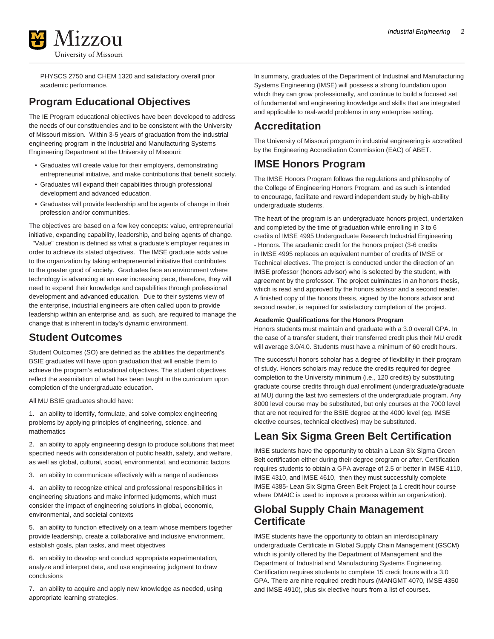

PHYSCS 2750 and CHEM 1320 and satisfactory overall prior academic performance.

# **Program Educational Objectives**

The IE Program educational objectives have been developed to address the needs of our constituencies and to be consistent with the University of Missouri mission. Within 3-5 years of graduation from the industrial engineering program in the Industrial and Manufacturing Systems Engineering Department at the University of Missouri:

- Graduates will create value for their employers, demonstrating entrepreneurial initiative, and make contributions that benefit society.
- Graduates will expand their capabilities through professional development and advanced education.
- Graduates will provide leadership and be agents of change in their profession and/or communities.

The objectives are based on a few key concepts: value, entrepreneurial initiative, expanding capability, leadership, and being agents of change.

 "Value" creation is defined as what a graduate's employer requires in order to achieve its stated objectives. The IMSE graduate adds value to the organization by taking entrepreneurial initiative that contributes to the greater good of society. Graduates face an environment where technology is advancing at an ever increasing pace, therefore, they will need to expand their knowledge and capabilities through professional development and advanced education. Due to their systems view of the enterprise, industrial engineers are often called upon to provide leadership within an enterprise and, as such, are required to manage the change that is inherent in today's dynamic environment.

# **Student Outcomes**

Student Outcomes (SO) are defined as the abilities the department's BSIE graduates will have upon graduation that will enable them to achieve the program's educational objectives. The student objectives reflect the assimilation of what has been taught in the curriculum upon completion of the undergraduate education.

All MU BSIE graduates should have:

1. an ability to identify, formulate, and solve complex engineering problems by applying principles of engineering, science, and mathematics

2. an ability to apply engineering design to produce solutions that meet specified needs with consideration of public health, safety, and welfare, as well as global, cultural, social, environmental, and economic factors

3. an ability to communicate effectively with a range of audiences

4. an ability to recognize ethical and professional responsibilities in engineering situations and make informed judgments, which must consider the impact of engineering solutions in global, economic, environmental, and societal contexts

5. an ability to function effectively on a team whose members together provide leadership, create a collaborative and inclusive environment, establish goals, plan tasks, and meet objectives

6. an ability to develop and conduct appropriate experimentation, analyze and interpret data, and use engineering judgment to draw conclusions

7. an ability to acquire and apply new knowledge as needed, using appropriate learning strategies.

In summary, graduates of the Department of Industrial and Manufacturing Systems Engineering (IMSE) will possess a strong foundation upon which they can grow professionally, and continue to build a focused set of fundamental and engineering knowledge and skills that are integrated and applicable to real-world problems in any enterprise setting.

# **Accreditation**

The University of Missouri program in industrial engineering is accredited by the Engineering Accreditation Commission (EAC) of ABET.

# **IMSE Honors Program**

The IMSE Honors Program follows the regulations and philosophy of the College of Engineering Honors Program, and as such is intended to encourage, facilitate and reward independent study by high-ability undergraduate students.

The heart of the program is an undergraduate honors project, undertaken and completed by the time of graduation while enrolling in 3 to 6 credits of IMSE 4995 Undergraduate Research Industrial Engineering - Honors. The academic credit for the honors project (3-6 credits in IMSE 4995 replaces an equivalent number of credits of IMSE or Technical electives. The project is conducted under the direction of an IMSE professor (honors advisor) who is selected by the student, with agreement by the professor. The project culminates in an honors thesis, which is read and approved by the honors advisor and a second reader. A finished copy of the honors thesis, signed by the honors advisor and second reader, is required for satisfactory completion of the project.

# **Academic Qualifications for the Honors Program**

Honors students must maintain and graduate with a 3.0 overall GPA. In the case of a transfer student, their transferred credit plus their MU credit will average 3.0/4.0. Students must have a minimum of 60 credit hours.

The successful honors scholar has a degree of flexibility in their program of study. Honors scholars may reduce the credits required for degree completion to the University minimum (i.e., 120 credits) by substituting graduate course credits through dual enrollment (undergraduate/graduate at MU) during the last two semesters of the undergraduate program. Any 8000 level course may be substituted, but only courses at the 7000 level that are not required for the BSIE degree at the 4000 level (eg. IMSE elective courses, technical electives) may be substituted.

# **Lean Six Sigma Green Belt Certification**

IMSE students have the opportunity to obtain a Lean Six Sigma Green Belt certification either during their degree program or after. Certification requires students to obtain a GPA average of 2.5 or better in IMSE 4110, IMSE 4310, and IMSE 4610, then they must successfully complete IMSE 4385- Lean Six Sigma Green Belt Project (a 1 credit hour course where DMAIC is used to improve a process within an organization).

# **Global Supply Chain Management Certificate**

IMSE students have the opportunity to obtain an interdisciplinary undergraduate Certificate in Global Supply Chain Management (GSCM) which is jointly offered by the Department of Management and the Department of Industrial and Manufacturing Systems Engineering. Certification requires students to complete 15 credit hours with a 3.0 GPA. There are nine required credit hours (MANGMT 4070, IMSE 4350 and IMSE 4910), plus six elective hours from a list of courses.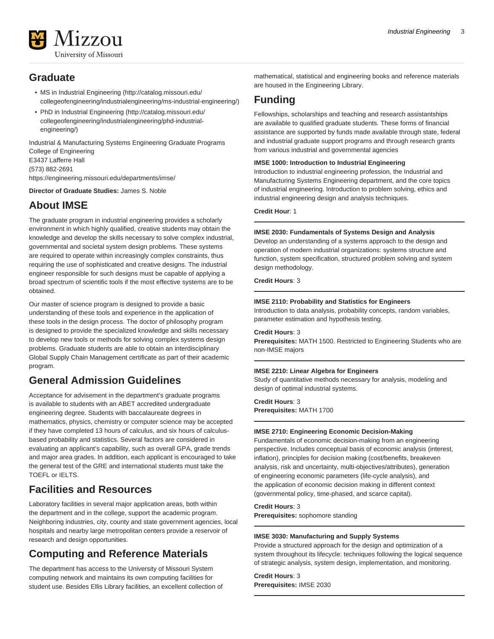

# **Graduate**

- [MS in Industrial Engineering](http://catalog.missouri.edu/collegeofengineering/industrialengineering/ms-industrial-engineering/) ([http://catalog.missouri.edu/](http://catalog.missouri.edu/collegeofengineering/industrialengineering/ms-industrial-engineering/) [collegeofengineering/industrialengineering/ms-industrial-engineering/](http://catalog.missouri.edu/collegeofengineering/industrialengineering/ms-industrial-engineering/))
- [PhD in Industrial Engineering \(http://catalog.missouri.edu/](http://catalog.missouri.edu/collegeofengineering/industrialengineering/phd-industrial-engineering/) [collegeofengineering/industrialengineering/phd-industrial](http://catalog.missouri.edu/collegeofengineering/industrialengineering/phd-industrial-engineering/)[engineering/](http://catalog.missouri.edu/collegeofengineering/industrialengineering/phd-industrial-engineering/))

Industrial & Manufacturing Systems Engineering Graduate Programs College of Engineering E3437 Lafferre Hall (573) 882-2691 <https://engineering.missouri.edu/departments/imse/>

**Director of Graduate Studies:** James S. Noble

# **About IMSE**

The graduate program in industrial engineering provides a scholarly environment in which highly qualified, creative students may obtain the knowledge and develop the skills necessary to solve complex industrial, governmental and societal system design problems. These systems are required to operate within increasingly complex constraints, thus requiring the use of sophisticated and creative designs. The industrial engineer responsible for such designs must be capable of applying a broad spectrum of scientific tools if the most effective systems are to be obtained.

Our master of science program is designed to provide a basic understanding of these tools and experience in the application of these tools in the design process. The doctor of philosophy program is designed to provide the specialized knowledge and skills necessary to develop new tools or methods for solving complex systems design problems. Graduate students are able to obtain an interdisciplinary Global Supply Chain Management certificate as part of their academic program.

# **General Admission Guidelines**

Acceptance for advisement in the department's graduate programs is available to students with an ABET accredited undergraduate engineering degree. Students with baccalaureate degrees in mathematics, physics, chemistry or computer science may be accepted if they have completed 13 hours of calculus, and six hours of calculusbased probability and statistics. Several factors are considered in evaluating an applicant's capability, such as overall GPA, grade trends and major area grades. In addition, each applicant is encouraged to take the general test of the GRE and international students must take the TOEFL or IELTS.

# **Facilities and Resources**

Laboratory facilities in several major application areas, both within the department and in the college, support the academic program. Neighboring industries, city, county and state government agencies, local hospitals and nearby large metropolitan centers provide a reservoir of research and design opportunities.

# **Computing and Reference Materials**

The department has access to the University of Missouri System computing network and maintains its own computing facilities for student use. Besides Ellis Library facilities, an excellent collection of mathematical, statistical and engineering books and reference materials are housed in the Engineering Library.

# **Funding**

Fellowships, scholarships and teaching and research assistantships are available to qualified graduate students. These forms of financial assistance are supported by funds made available through state, federal and industrial graduate support programs and through research grants from various industrial and governmental agencies

# **IMSE 1000: Introduction to Industrial Engineering**

Introduction to industrial engineering profession, the Industrial and Manufacturing Systems Engineering department, and the core topics of industrial engineering. Introduction to problem solving, ethics and industrial engineering design and analysis techniques.

# **Credit Hour**: 1

# **IMSE 2030: Fundamentals of Systems Design and Analysis**

Develop an understanding of a systems approach to the design and operation of modern industrial organizations: systems structure and function, system specification, structured problem solving and system design methodology.

# **Credit Hours**: 3

# **IMSE 2110: Probability and Statistics for Engineers**

Introduction to data analysis, probability concepts, random variables, parameter estimation and hypothesis testing.

**Credit Hours**: 3

**Prerequisites:** MATH 1500. Restricted to Engineering Students who are non-IMSE majors

# **IMSE 2210: Linear Algebra for Engineers**

Study of quantitative methods necessary for analysis, modeling and design of optimal industrial systems.

**Credit Hours**: 3 **Prerequisites:** MATH 1700

# **IMSE 2710: Engineering Economic Decision-Making**

Fundamentals of economic decision-making from an engineering perspective. Includes conceptual basis of economic analysis (interest, inflation), principles for decision making (cost/benefits, breakeven analysis, risk and uncertainty, multi-objectives/attributes), generation of engineering economic parameters (life-cycle analysis), and the application of economic decision making in different context (governmental policy, time-phased, and scarce capital).

# **Credit Hours**: 3

**Prerequisites:** sophomore standing

# **IMSE 3030: Manufacturing and Supply Systems**

Provide a structured approach for the design and optimization of a system throughout its lifecycle: techniques following the logical sequence of strategic analysis, system design, implementation, and monitoring.

**Credit Hours**: 3 **Prerequisites:** IMSE 2030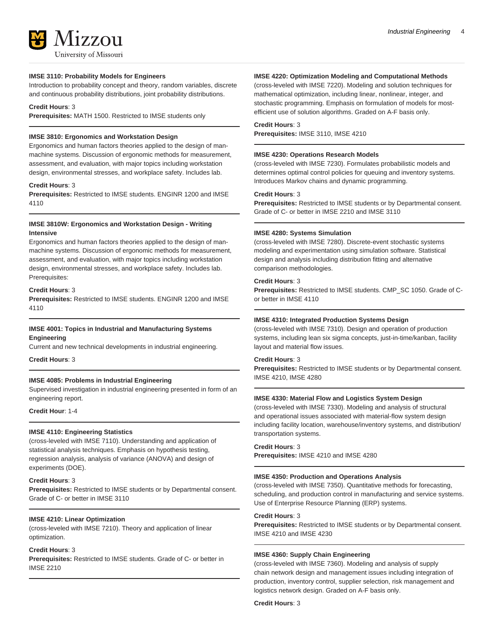Introduction to probability concept and theory, random variables, discrete and continuous probability distributions, joint probability distributions.

# **Credit Hours**: 3

**Prerequisites:** MATH 1500. Restricted to IMSE students only

# **IMSE 3810: Ergonomics and Workstation Design**

Ergonomics and human factors theories applied to the design of manmachine systems. Discussion of ergonomic methods for measurement, assessment, and evaluation, with major topics including workstation design, environmental stresses, and workplace safety. Includes lab.

#### **Credit Hours**: 3

**Prerequisites:** Restricted to IMSE students. ENGINR 1200 and IMSE 4110

# **IMSE 3810W: Ergonomics and Workstation Design - Writing Intensive**

Ergonomics and human factors theories applied to the design of manmachine systems. Discussion of ergonomic methods for measurement, assessment, and evaluation, with major topics including workstation design, environmental stresses, and workplace safety. Includes lab. Prerequisites:

### **Credit Hours**: 3

**Prerequisites:** Restricted to IMSE students. ENGINR 1200 and IMSE 4110

# **IMSE 4001: Topics in Industrial and Manufacturing Systems Engineering**

Current and new technical developments in industrial engineering.

**Credit Hours**: 3

# **IMSE 4085: Problems in Industrial Engineering**

Supervised investigation in industrial engineering presented in form of an engineering report.

**Credit Hour**: 1-4

#### **IMSE 4110: Engineering Statistics**

(cross-leveled with IMSE 7110). Understanding and application of statistical analysis techniques. Emphasis on hypothesis testing, regression analysis, analysis of variance (ANOVA) and design of experiments (DOE).

# **Credit Hours**: 3

**Prerequisites:** Restricted to IMSE students or by Departmental consent. Grade of C- or better in IMSE 3110

#### **IMSE 4210: Linear Optimization**

(cross-leveled with IMSE 7210). Theory and application of linear optimization.

# **Credit Hours**: 3

**Prerequisites:** Restricted to IMSE students. Grade of C- or better in IMSE 2210

#### **IMSE 4220: Optimization Modeling and Computational Methods**

(cross-leveled with IMSE 7220). Modeling and solution techniques for mathematical optimization, including linear, nonlinear, integer, and stochastic programming. Emphasis on formulation of models for mostefficient use of solution algorithms. Graded on A-F basis only.

#### **Credit Hours**: 3

**Prerequisites:** IMSE 3110, IMSE 4210

#### **IMSE 4230: Operations Research Models**

(cross-leveled with IMSE 7230). Formulates probabilistic models and determines optimal control policies for queuing and inventory systems. Introduces Markov chains and dynamic programming.

# **Credit Hours**: 3

**Prerequisites:** Restricted to IMSE students or by Departmental consent. Grade of C- or better in IMSE 2210 and IMSE 3110

#### **IMSE 4280: Systems Simulation**

(cross-leveled with IMSE 7280). Discrete-event stochastic systems modeling and experimentation using simulation software. Statistical design and analysis including distribution fitting and alternative comparison methodologies.

#### **Credit Hours**: 3

**Prerequisites:** Restricted to IMSE students. CMP\_SC 1050. Grade of Cor better in IMSE 4110

# **IMSE 4310: Integrated Production Systems Design**

(cross-leveled with IMSE 7310). Design and operation of production systems, including lean six sigma concepts, just-in-time/kanban, facility layout and material flow issues.

# **Credit Hours**: 3

**Prerequisites:** Restricted to IMSE students or by Departmental consent. IMSE 4210, IMSE 4280

# **IMSE 4330: Material Flow and Logistics System Design**

(cross-leveled with IMSE 7330). Modeling and analysis of structural and operational issues associated with material-flow system design including facility location, warehouse/inventory systems, and distribution/ transportation systems.

#### **Credit Hours**: 3

**Prerequisites:** IMSE 4210 and IMSE 4280

#### **IMSE 4350: Production and Operations Analysis**

(cross-leveled with IMSE 7350). Quantitative methods for forecasting, scheduling, and production control in manufacturing and service systems. Use of Enterprise Resource Planning (ERP) systems.

#### **Credit Hours**: 3

**Prerequisites:** Restricted to IMSE students or by Departmental consent. IMSE 4210 and IMSE 4230

### **IMSE 4360: Supply Chain Engineering**

(cross-leveled with IMSE 7360). Modeling and analysis of supply chain network design and management issues including integration of production, inventory control, supplier selection, risk management and logistics network design. Graded on A-F basis only.

**Credit Hours**: 3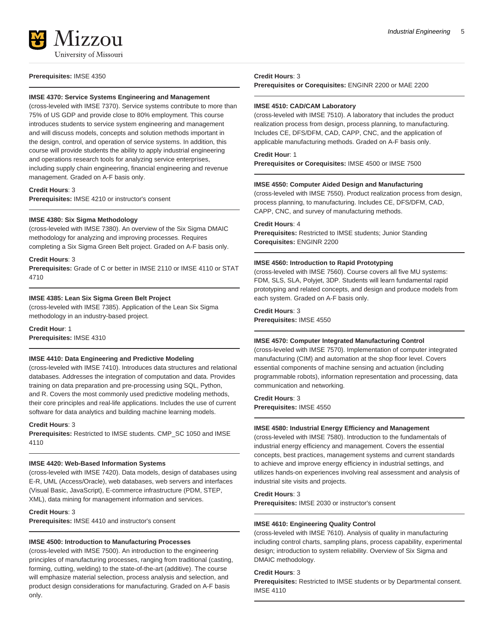

# **Prerequisites:** IMSE 4350

### **IMSE 4370: Service Systems Engineering and Management**

(cross-leveled with IMSE 7370). Service systems contribute to more than 75% of US GDP and provide close to 80% employment. This course introduces students to service system engineering and management and will discuss models, concepts and solution methods important in the design, control, and operation of service systems. In addition, this course will provide students the ability to apply industrial engineering and operations research tools for analyzing service enterprises, including supply chain engineering, financial engineering and revenue management. Graded on A-F basis only.

# **Credit Hours**: 3

**Prerequisites:** IMSE 4210 or instructor's consent

### **IMSE 4380: Six Sigma Methodology**

(cross-leveled with IMSE 7380). An overview of the Six Sigma DMAIC methodology for analyzing and improving processes. Requires completing a Six Sigma Green Belt project. Graded on A-F basis only.

### **Credit Hours**: 3

**Prerequisites:** Grade of C or better in IMSE 2110 or IMSE 4110 or STAT 4710

# **IMSE 4385: Lean Six Sigma Green Belt Project**

(cross-leveled with IMSE 7385). Application of the Lean Six Sigma methodology in an industry-based project.

**Credit Hour**: 1

**Prerequisites:** IMSE 4310

#### **IMSE 4410: Data Engineering and Predictive Modeling**

(cross-leveled with IMSE 7410). Introduces data structures and relational databases. Addresses the integration of computation and data. Provides training on data preparation and pre-processing using SQL, Python, and R. Covers the most commonly used predictive modeling methods, their core principles and real-life applications. Includes the use of current software for data analytics and building machine learning models.

**Credit Hours**: 3

**Prerequisites:** Restricted to IMSE students. CMP\_SC 1050 and IMSE 4110

#### **IMSE 4420: Web-Based Information Systems**

(cross-leveled with IMSE 7420). Data models, design of databases using E-R, UML (Access/Oracle), web databases, web servers and interfaces (Visual Basic, JavaScript), E-commerce infrastructure (PDM, STEP, XML), data mining for management information and services.

#### **Credit Hours**: 3

**Prerequisites:** IMSE 4410 and instructor's consent

#### **IMSE 4500: Introduction to Manufacturing Processes**

(cross-leveled with IMSE 7500). An introduction to the engineering principles of manufacturing processes, ranging from traditional (casting, forming, cutting, welding) to the state-of-the-art (additive). The course will emphasize material selection, process analysis and selection, and product design considerations for manufacturing. Graded on A-F basis only.

#### **Credit Hours**: 3

**Prerequisites or Corequisites:** ENGINR 2200 or MAE 2200

### **IMSE 4510: CAD/CAM Laboratory**

(cross-leveled with IMSE 7510). A laboratory that includes the product realization process from design, process planning, to manufacturing. Includes CE, DFS/DFM, CAD, CAPP, CNC, and the application of applicable manufacturing methods. Graded on A-F basis only.

#### **Credit Hour**: 1

**Prerequisites or Corequisites:** IMSE 4500 or IMSE 7500

#### **IMSE 4550: Computer Aided Design and Manufacturing**

(cross-leveled with IMSE 7550). Product realization process from design, process planning, to manufacturing. Includes CE, DFS/DFM, CAD, CAPP, CNC, and survey of manufacturing methods.

**Credit Hours**: 4

**Prerequisites:** Restricted to IMSE students; Junior Standing **Corequisites:** ENGINR 2200

#### **IMSE 4560: Introduction to Rapid Prototyping**

(cross-leveled with IMSE 7560). Course covers all five MU systems: FDM, SLS, SLA, Polyjet, 3DP. Students will learn fundamental rapid prototyping and related concepts, and design and produce models from each system. Graded on A-F basis only.

# **Credit Hours**: 3 **Prerequisites:** IMSE 4550

#### **IMSE 4570: Computer Integrated Manufacturing Control**

(cross-leveled with IMSE 7570). Implementation of computer integrated manufacturing (CIM) and automation at the shop floor level. Covers essential components of machine sensing and actuation (including programmable robots), information representation and processing, data communication and networking.

**Credit Hours**: 3

**Prerequisites:** IMSE 4550

### **IMSE 4580: Industrial Energy Efficiency and Management**

(cross-leveled with IMSE 7580). Introduction to the fundamentals of industrial energy efficiency and management. Covers the essential concepts, best practices, management systems and current standards to achieve and improve energy efficiency in industrial settings, and utilizes hands-on experiences involving real assessment and analysis of industrial site visits and projects.

# **Credit Hours**: 3

**Prerequisites:** IMSE 2030 or instructor's consent

#### **IMSE 4610: Engineering Quality Control**

(cross-leveled with IMSE 7610). Analysis of quality in manufacturing including control charts, sampling plans, process capability, experimental design; introduction to system reliability. Overview of Six Sigma and DMAIC methodology.

# **Credit Hours**: 3

**Prerequisites:** Restricted to IMSE students or by Departmental consent. IMSE 4110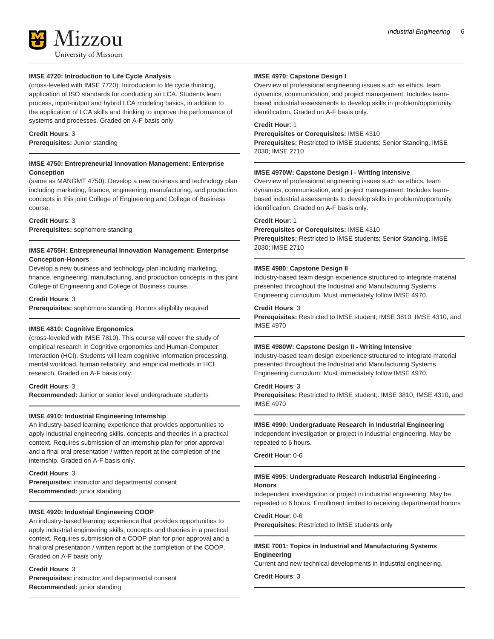

# **IMSE 4720: Introduction to Life Cycle Analysis**

(cross-leveled with IMSE 7720). Introduction to life cycle thinking, application of ISO standards for conducting an LCA. Students learn process, input-output and hybrid LCA modeling basics, in addition to the application of LCA skills and thinking to improve the performance of systems and processes. Graded on A-F basis only.

# **Credit Hours**: 3

**Prerequisites:** Junior standing

# **IMSE 4750: Entrepreneurial Innovation Management: Enterprise Conception**

(same as MANGMT 4750). Develop a new business and technology plan including marketing, finance, engineering, manufacturing, and production concepts in this joint College of Engineering and College of Business course.

# **Credit Hours**: 3

**Prerequisites:** sophomore standing

# **IMSE 4755H: Entrepreneurial Innovation Management: Enterprise Conception-Honors**

Develop a new business and technology plan including marketing, finance, engineering, manufacturing, and production concepts in this joint College of Engineering and College of Business course.

# **Credit Hours**: 3

**Prerequisites:** sophomore standing. Honors eligibility required

# **IMSE 4810: Cognitive Ergonomics**

(cross-leveled with IMSE 7810). This course will cover the study of empirical research in Cognitive ergonomics and Human-Computer Interaction (HCI). Students will learn cognitive information processing, mental workload, human reliability, and empirical methods in HCI research. Graded on A-F basis only.

# **Credit Hours**: 3

**Recommended:** Junior or senior level undergraduate students

# **IMSE 4910: Industrial Engineering Internship**

An industry-based learning experience that provides opportunities to apply industrial engineering skills, concepts and theories in a practical context. Requires submission of an internship plan for prior approval and a final oral presentation / written report at the completion of the internship. Graded on A-F basis only.

# **Credit Hours**: 3

**Prerequisites:** instructor and departmental consent **Recommended:** junior standing

# **IMSE 4920: Industrial Engineering COOP**

An industry-based learning experience that provides opportunities to apply industrial engineering skills, concepts and theories in a practical context. Requires submission of a COOP plan for prior approval and a final oral presentation / written report at the completion of the COOP. Graded on A-F basis only.

# **Credit Hours**: 3

**Prerequisites:** instructor and departmental consent **Recommended:** junior standing

# **IMSE 4970: Capstone Design I**

Overview of professional engineering issues such as ethics, team dynamics, communication, and project management. Includes teambased industrial assessments to develop skills in problem/opportunity identification. Graded on A-F basis only.

# **Credit Hour**: 1

**Prerequisites or Corequisites:** IMSE 4310 **Prerequisites:** Restricted to IMSE students; Senior Standing, IMSE 2030; IMSE 2710

# **IMSE 4970W: Capstone Design I - Writing Intensive**

Overview of professional engineering issues such as ethics, team dynamics, communication, and project management. Includes teambased industrial assessments to develop skills in problem/opportunity identification. Graded on A-F basis only.

### **Credit Hour**: 1

# **Prerequisites or Corequisites:** IMSE 4310

**Prerequisites:** Restricted to IMSE students; Senior Standing, IMSE 2030; IMSE 2710

# **IMSE 4980: Capstone Design II**

Industry-based team design experience structured to integrate material presented throughout the Industrial and Manufacturing Systems Engineering curriculum. Must immediately follow IMSE 4970.

### **Credit Hours**: 3

**Prerequisites:** Restricted to IMSE student; IMSE 3810, IMSE 4310, and IMSE 4970

# **IMSE 4980W: Capstone Design II - Writing Intensive**

Industry-based team design experience structured to integrate material presented throughout the Industrial and Manufacturing Systems Engineering curriculum. Must immediately follow IMSE 4970.

# **Credit Hours**: 3

**Prerequisites:** Restricted to IMSE student;. IMSE 3810, IMSE 4310, and IMSE 4970

# **IMSE 4990: Undergraduate Research in Industrial Engineering**

Independent investigation or project in industrial engineering. May be repeated to 6 hours.

**Credit Hour**: 0-6

# **IMSE 4995: Undergraduate Research Industrial Engineering - Honors**

Independent investigation or project in industrial engineering. May be repeated to 6 hours. Enrollment limited to receiving departmental honors

### **Credit Hour**: 0-6

**Prerequisites:** Restricted to IMSE students only

# **IMSE 7001: Topics in Industrial and Manufacturing Systems Engineering**

Current and new technical developments in industrial engineering.

**Credit Hours**: 3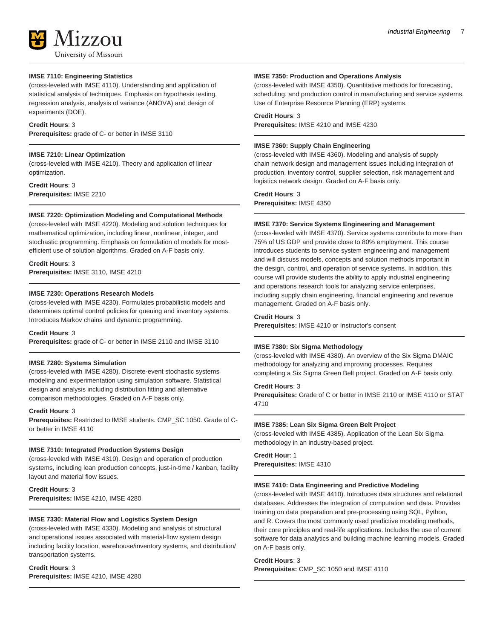

# **IMSE 7110: Engineering Statistics**

(cross-leveled with IMSE 4110). Understanding and application of statistical analysis of techniques. Emphasis on hypothesis testing, regression analysis, analysis of variance (ANOVA) and design of experiments (DOE).

### **Credit Hours**: 3

**Prerequisites:** grade of C- or better in IMSE 3110

### **IMSE 7210: Linear Optimization**

(cross-leveled with IMSE 4210). Theory and application of linear optimization.

**Credit Hours**: 3 **Prerequisites:** IMSE 2210

#### **IMSE 7220: Optimization Modeling and Computational Methods**

(cross-leveled with IMSE 4220). Modeling and solution techniques for mathematical optimization, including linear, nonlinear, integer, and stochastic programming. Emphasis on formulation of models for mostefficient use of solution algorithms. Graded on A-F basis only.

#### **Credit Hours**: 3

**Prerequisites:** IMSE 3110, IMSE 4210

### **IMSE 7230: Operations Research Models**

(cross-leveled with IMSE 4230). Formulates probabilistic models and determines optimal control policies for queuing and inventory systems. Introduces Markov chains and dynamic programming.

#### **Credit Hours**: 3

**Prerequisites:** grade of C- or better in IMSE 2110 and IMSE 3110

#### **IMSE 7280: Systems Simulation**

(cross-leveled with IMSE 4280). Discrete-event stochastic systems modeling and experimentation using simulation software. Statistical design and analysis including distribution fitting and alternative comparison methodologies. Graded on A-F basis only.

#### **Credit Hours**: 3

**Prerequisites:** Restricted to IMSE students. CMP\_SC 1050. Grade of Cor better in IMSE 4110

#### **IMSE 7310: Integrated Production Systems Design**

(cross-leveled with IMSE 4310). Design and operation of production systems, including lean production concepts, just-in-time / kanban, facility layout and material flow issues.

**Credit Hours**: 3 **Prerequisites:** IMSE 4210, IMSE 4280

# **IMSE 7330: Material Flow and Logistics System Design**

(cross-leveled with IMSE 4330). Modeling and analysis of structural and operational issues associated with material-flow system design including facility location, warehouse/inventory systems, and distribution/ transportation systems.

### **Credit Hours**: 3

**Prerequisites:** IMSE 4210, IMSE 4280

#### **IMSE 7350: Production and Operations Analysis**

(cross-leveled with IMSE 4350). Quantitative methods for forecasting, scheduling, and production control in manufacturing and service systems. Use of Enterprise Resource Planning (ERP) systems.

# **Credit Hours**: 3

**Prerequisites:** IMSE 4210 and IMSE 4230

#### **IMSE 7360: Supply Chain Engineering**

(cross-leveled with IMSE 4360). Modeling and analysis of supply chain network design and management issues including integration of production, inventory control, supplier selection, risk management and logistics network design. Graded on A-F basis only.

# **Credit Hours**: 3

**Prerequisites:** IMSE 4350

# **IMSE 7370: Service Systems Engineering and Management**

(cross-leveled with IMSE 4370). Service systems contribute to more than 75% of US GDP and provide close to 80% employment. This course introduces students to service system engineering and management and will discuss models, concepts and solution methods important in the design, control, and operation of service systems. In addition, this course will provide students the ability to apply industrial engineering and operations research tools for analyzing service enterprises, including supply chain engineering, financial engineering and revenue management. Graded on A-F basis only.

#### **Credit Hours**: 3

**Prerequisites:** IMSE 4210 or Instructor's consent

### **IMSE 7380: Six Sigma Methodology**

(cross-leveled with IMSE 4380). An overview of the Six Sigma DMAIC methodology for analyzing and improving processes. Requires completing a Six Sigma Green Belt project. Graded on A-F basis only.

# **Credit Hours**: 3

**Prerequisites:** Grade of C or better in IMSE 2110 or IMSE 4110 or STAT 4710

#### **IMSE 7385: Lean Six Sigma Green Belt Project**

(cross-leveled with IMSE 4385). Application of the Lean Six Sigma methodology in an industry-based project.

# **Credit Hour**: 1 **Prerequisites:** IMSE 4310

#### **IMSE 7410: Data Engineering and Predictive Modeling**

(cross-leveled with IMSE 4410). Introduces data structures and relational databases. Addresses the integration of computation and data. Provides training on data preparation and pre-processing using SQL, Python, and R. Covers the most commonly used predictive modeling methods, their core principles and real-life applications. Includes the use of current software for data analytics and building machine learning models. Graded on A-F basis only.

#### **Credit Hours**: 3

**Prerequisites:** CMP\_SC 1050 and IMSE 4110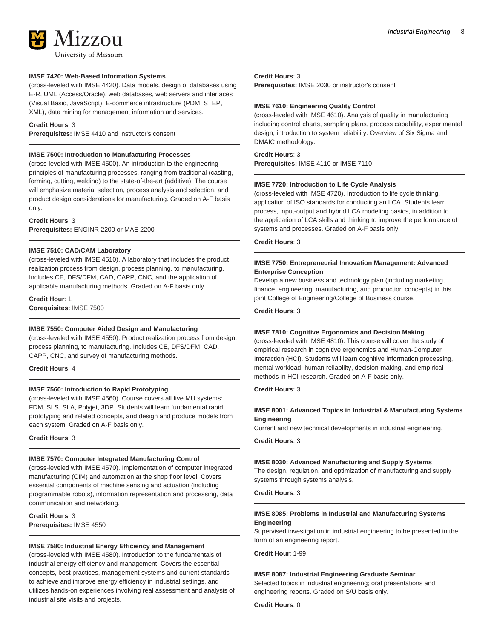

# **IMSE 7420: Web-Based Information Systems**

(cross-leveled with IMSE 4420). Data models, design of databases using E-R, UML (Access/Oracle), web databases, web servers and interfaces (Visual Basic, JavaScript), E-commerce infrastructure (PDM, STEP, XML), data mining for management information and services.

### **Credit Hours**: 3

**Prerequisites:** IMSE 4410 and instructor's consent

# **IMSE 7500: Introduction to Manufacturing Processes**

(cross-leveled with IMSE 4500). An introduction to the engineering principles of manufacturing processes, ranging from traditional (casting, forming, cutting, welding) to the state-of-the-art (additive). The course will emphasize material selection, process analysis and selection, and product design considerations for manufacturing. Graded on A-F basis only.

#### **Credit Hours**: 3

**Prerequisites:** ENGINR 2200 or MAE 2200

### **IMSE 7510: CAD/CAM Laboratory**

(cross-leveled with IMSE 4510). A laboratory that includes the product realization process from design, process planning, to manufacturing. Includes CE, DFS/DFM, CAD, CAPP, CNC, and the application of applicable manufacturing methods. Graded on A-F basis only.

**Credit Hour**: 1 **Corequisites:** IMSE 7500

#### **IMSE 7550: Computer Aided Design and Manufacturing**

(cross-leveled with IMSE 4550). Product realization process from design, process planning, to manufacturing. Includes CE, DFS/DFM, CAD, CAPP, CNC, and survey of manufacturing methods.

#### **Credit Hours**: 4

# **IMSE 7560: Introduction to Rapid Prototyping**

(cross-leveled with IMSE 4560). Course covers all five MU systems: FDM, SLS, SLA, Polyjet, 3DP. Students will learn fundamental rapid prototyping and related concepts, and design and produce models from each system. Graded on A-F basis only.

**Credit Hours**: 3

#### **IMSE 7570: Computer Integrated Manufacturing Control**

(cross-leveled with IMSE 4570). Implementation of computer integrated manufacturing (CIM) and automation at the shop floor level. Covers essential components of machine sensing and actuation (including programmable robots), information representation and processing, data communication and networking.

**Credit Hours**: 3 **Prerequisites:** IMSE 4550

### **IMSE 7580: Industrial Energy Efficiency and Management**

(cross-leveled with IMSE 4580). Introduction to the fundamentals of industrial energy efficiency and management. Covers the essential concepts, best practices, management systems and current standards to achieve and improve energy efficiency in industrial settings, and utilizes hands-on experiences involving real assessment and analysis of industrial site visits and projects.

### **Credit Hours**: 3

**Prerequisites:** IMSE 2030 or instructor's consent

#### **IMSE 7610: Engineering Quality Control**

(cross-leveled with IMSE 4610). Analysis of quality in manufacturing including control charts, sampling plans, process capability, experimental design; introduction to system reliability. Overview of Six Sigma and DMAIC methodology.

#### **Credit Hours**: 3

**Prerequisites:** IMSE 4110 or IMSE 7110

#### **IMSE 7720: Introduction to Life Cycle Analysis**

(cross-leveled with IMSE 4720). Introduction to life cycle thinking, application of ISO standards for conducting an LCA. Students learn process, input-output and hybrid LCA modeling basics, in addition to the application of LCA skills and thinking to improve the performance of systems and processes. Graded on A-F basis only.

### **Credit Hours**: 3

# **IMSE 7750: Entrepreneurial Innovation Management: Advanced Enterprise Conception**

Develop a new business and technology plan (including marketing, finance, engineering, manufacturing, and production concepts) in this joint College of Engineering/College of Business course.

**Credit Hours**: 3

# **IMSE 7810: Cognitive Ergonomics and Decision Making**

(cross-leveled with IMSE 4810). This course will cover the study of empirical research in cognitive ergonomics and Human-Computer Interaction (HCI). Students will learn cognitive information processing, mental workload, human reliability, decision-making, and empirical methods in HCI research. Graded on A-F basis only.

# **Credit Hours**: 3

# **IMSE 8001: Advanced Topics in Industrial & Manufacturing Systems Engineering**

Current and new technical developments in industrial engineering.

#### **Credit Hours**: 3

#### **IMSE 8030: Advanced Manufacturing and Supply Systems**

The design, regulation, and optimization of manufacturing and supply systems through systems analysis.

# **Credit Hours**: 3

# **IMSE 8085: Problems in Industrial and Manufacturing Systems Engineering**

Supervised investigation in industrial engineering to be presented in the form of an engineering report.

**Credit Hour**: 1-99

#### **IMSE 8087: Industrial Engineering Graduate Seminar**

Selected topics in industrial engineering; oral presentations and engineering reports. Graded on S/U basis only.

**Credit Hours**: 0